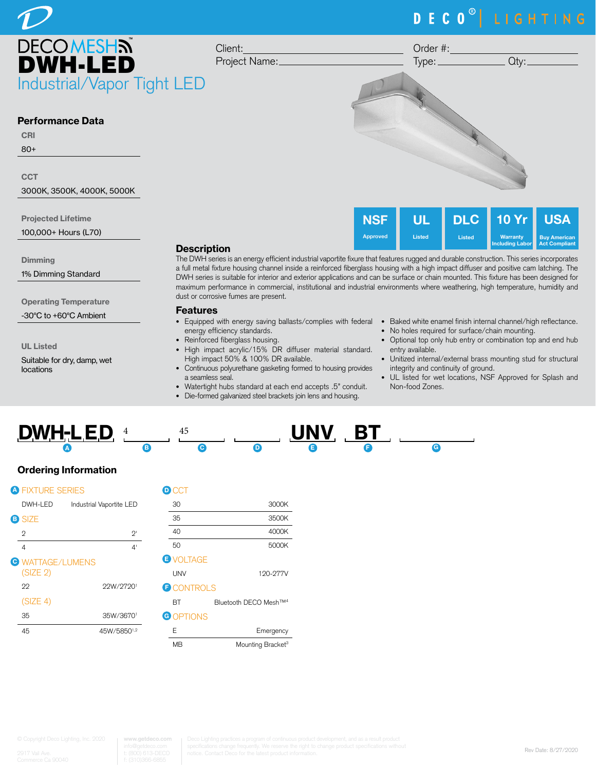# DECO<sup>®</sup> LIGHTING

USA Buy American Act Compliant

10 Yr **Warranty** Including Labor



80+

**CCT** 

3000K, 3500K, 4000K, 5000K

Projected Lifetime

100,000+ Hours (L70)

**Dimming** 

1% Dimming Standard

Operating Temperature

-30°C to +60°C Ambient

UL Listed

Suitable for dry, damp, wet locations

### **Description**

The DWH series is an energy efficient industrial vaportite fixure that features rugged and durable construction. This series incorporates a full metal fixture housing channel inside a reinforced fiberglass housing with a high impact diffuser and positive cam latching. The DWH series is suitable for interior and exterior applications and can be surface or chain mounted. This fixture has been designed for maximum performance in commercial, institutional and industrial environments where weathering, high temperature, humidity and dust or corrosive fumes are present.

**NSF** Approved

UL Listed

### Features

- energy efficiency standards.
- Reinforced fiberglass housing.
- High impact acrylic/15% DR diffuser material standard. High impact 50% & 100% DR available.
- Continuous polyurethane gasketing formed to housing provides a seamless seal.
- Watertight hubs standard at each end accepts .5" conduit.
- Die-formed galvanized steel brackets join lens and housing.
- Equipped with energy saving ballasts/complies with federal Baked white enamel finish internal channel/high reflectance.
	- No holes required for surface/chain mounting.

DLC Listed

- Optional top only hub entry or combination top and end hub entry available.
- Unitized internal/external brass mounting stud for structural integrity and continuity of ground.
- UL listed for wet locations, NSF Approved for Splash and Non-food Zones.



# Ordering Information

| <b>A FIXTURE SERIES</b>             |                          | D |
|-------------------------------------|--------------------------|---|
| DWH-LED                             | Industrial Vaportite LED |   |
| <b>B</b> SIZE                       |                          |   |
| $\overline{2}$                      | $2^{\prime}$             |   |
| 4                                   | 4 <sup>1</sup>           |   |
| <b>O WATTAGE/LUMENS</b><br>(SIZE 2) |                          | Έ |
| 22                                  | 22W/27201                | Ë |
| (SIZE 4)                            |                          |   |
| 35                                  | 35W/36701                | G |
| 45                                  | 45W/58501,2              |   |

| $\blacksquare$ CCT |                                    |
|--------------------|------------------------------------|
| 30                 | 3000K                              |
| 35                 | 3500K                              |
| 40                 | 4000K                              |
| 50                 | 5000K                              |
| <b>E</b> VOLTAGE   |                                    |
| <b>UNV</b>         | 120-277V                           |
| <b>D</b> CONTROLS  |                                    |
| ВT                 | Bluetooth DECO Mesh <sup>TM4</sup> |
| <b>G</b> OPTIONS   |                                    |
| F                  | Emergency                          |
| MВ                 | Mounting Bracket <sup>3</sup>      |

**www.getdeco.com**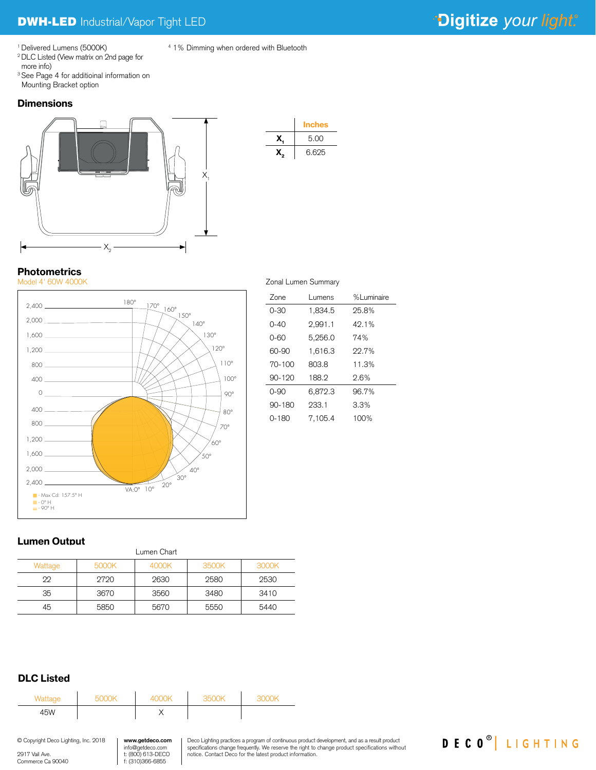DECO<sup>®</sup> LIGHTING

1 Delivered Lumens (5000K)

2 DLC Listed (View matrix on 2nd page for more info)

<sup>3</sup> See Page 4 for additioinal information on Mounting Bracket option

## **Dimensions**





4 1% Dimming when ordered with Bluetooth

# **Photometrics**



| Zone       | Lumens  | %Luminaire |
|------------|---------|------------|
| $0 - 30$   | 1,834.5 | 25.8%      |
| $0 - 40$   | 2,991.1 | 49.1%      |
| 0-60       | 5,256.0 | 74%        |
| 60-90      | 1,616.3 | 22.7%      |
| $70 - 100$ | 803.8   | 11.3%      |
| $90 - 120$ | 188.2   | 2.6%       |
| $0 - 90$   | 6,872.3 | 96.7%      |
| $90 - 180$ | 233.1   | 3.3%       |
| $0 - 180$  | 7.105.4 | 100%       |

## Lumen Output

| Lumen Chart |       |       |       |       |
|-------------|-------|-------|-------|-------|
| Wattage     | 5000K | 4000K | 3500K | 3000K |
| 22          | 2720  | 2630  | 2580  | 2530  |
| 35          | 3670  | 3560  | 3480  | 3410  |
| 45          | 5850  | 5670  | 5550  | 5440  |

# DLC Listed

| Wattage | 5000K | 4000K | 3500K | 3000K |
|---------|-------|-------|-------|-------|
| 45W     |       |       |       |       |
|         |       |       |       |       |

| © Copyright Deco Lighting, Inc. 2018 | www.getdeco.com   |
|--------------------------------------|-------------------|
|                                      | info@getdeco.com  |
| 9917 Vail Ave.                       | t: (800) 613-DECO |
| Commerce Ca 90040                    | f: (310)366-6855  |

Deco Lighting practices a program of continuous product development, and as a result product specifications change frequently. We reserve the right to change product specifications without specifications without notice. Contact Deco for the latest product information.